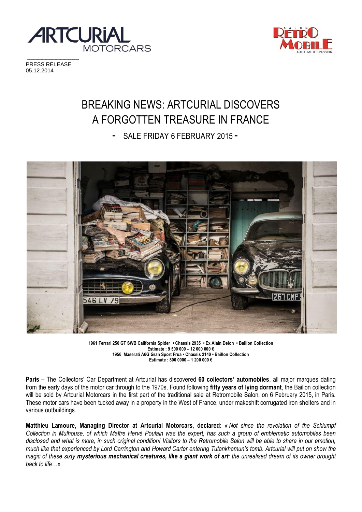



PRESS RELEASE 05.12.2014

# BREAKING NEWS: ARTCURIAL DISCOVERS A FORGOTTEN TREASURE IN FRANCE

- SALE FRIDAY 6 FEBRUARY 2015 -



**<sup>1961</sup> Ferrari 250 GT SWB California Spider • Chassis 2935 • Ex Alain Delon • Baillon Collection Estimate : 9 500 000 – 12 000 000 € 1956 Maserati A6G Gran Sport Frua • Chassis 2140 • Baillon Collection Estimate : 800 0000 – 1 200 000 €** 

**Paris** – The Collectors' Car Department at Artcurial has discovered **60 collectors' automobiles**, all major marques dating from the early days of the motor car through to the 1970s. Found following **fifty years of lying dormant**, the Baillon collection will be sold by Artcurial Motorcars in the first part of the traditional sale at Retromobile Salon, on 6 February 2015, in Paris. These motor cars have been tucked away in a property in the West of France, under makeshift corrugated iron shelters and in various outbuildings.

**Matthieu Lamoure, Managing Director at Artcurial Motorcars, declared**: *« Not since the revelation of the Schlumpf Collection in Mulhouse, of which Maître Hervé Poulain was the expert, has such a group of emblematic automobiles been disclosed and what is more, in such original condition! Visitors to the Retromobile Salon will be able to share in our emotion, much like that experienced by Lord Carrington and Howard Carter entering Tutankhamun's tomb. Artcurial will put on show the magic of these sixty mysterious mechanical creatures, like a giant work of art: the unrealised dream of its owner brought back to life…»*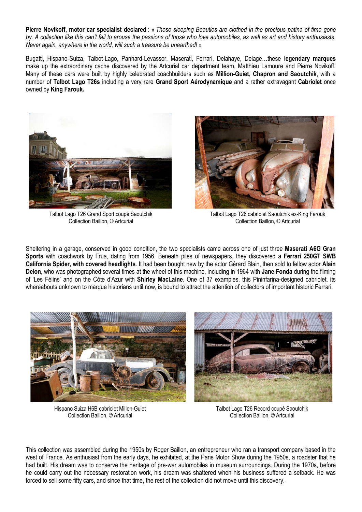**Pierre Novikoff, motor car specialist declared** : *« These sleeping Beauties are clothed in the precious patina of time gone by. A collection like this can't fail to arouse the passions of those who love automobiles, as well as art and history enthusiasts. Never again, anywhere in the world, will such a treasure be unearthed! »* 

Bugatti, Hispano-Suiza, Talbot-Lago, Panhard-Levassor, Maserati, Ferrari, Delahaye, Delage…these **legendary marques** make up the extraordinary cache discovered by the Artcurial car department team, Matthieu Lamoure and Pierre Novikoff. Many of these cars were built by highly celebrated coachbuilders such as **Million-Guiet, Chapron and Saoutchik**, with a number of **Talbot Lago T26s** including a very rare **Grand Sport Aérodynamique** and a rather extravagant **Cabriolet** once owned by **King Farouk.** 



Talbot Lago T26 Grand Sport coupé Saoutchik Collection Baillon, © Artcurial



Talbot Lago T26 cabriolet Saoutchik ex-King Farouk Collection Baillon, © Artcurial

Sheltering in a garage, conserved in good condition, the two specialists came across one of just three **Maserati A6G Gran Sports** with coachwork by Frua, dating from 1956. Beneath piles of newspapers, they discovered a **Ferrari 250GT SWB California Spider, with covered headlights**. It had been bought new by the actor Gérard Blain, then sold to fellow actor **Alain Delon**, who was photographed several times at the wheel of this machine, including in 1964 with **Jane Fonda** during the filming of 'Les Félins' and on the Côte d'Azur with **Shirley MacLaine**. One of 37 examples, this Pininfarina-designed cabriolet, its whereabouts unknown to marque historians until now, is bound to attract the attention of collectors of important historic Ferrari.



Hispano Suiza H6B cabriolet Millon-Guiet Collection Baillon, © Artcurial

Talbot Lago T26 Record coupé Saoutchik Collection Baillon, © Artcurial

This collection was assembled during the 1950s by Roger Baillon, an entrepreneur who ran a transport company based in the west of France. As enthusiast from the early days, he exhibited, at the Paris Motor Show during the 1950s, a roadster that he had built. His dream was to conserve the heritage of pre-war automobiles in museum surroundings. During the 1970s, before he could carry out the necessary restoration work, his dream was shattered when his business suffered a setback. He was forced to sell some fifty cars, and since that time, the rest of the collection did not move until this discovery.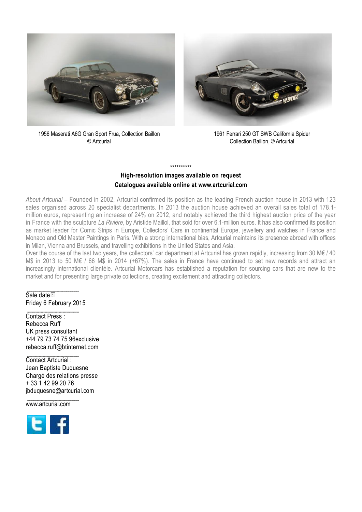



1956 Maserati A6G Gran Sport Frua, Collection Baillon © Artcurial

1961 Ferrari 250 GT SWB California Spider Collection Baillon, © Artcurial

# **High-resolution images available on request Catalogues available online at www.artcurial.com**

\*\*\*\*\*\*\*\*\*\*

*About Artcurial –* Founded in 2002, Artcurial confirmed its position as the leading French auction house in 2013 with 123 sales organised across 20 specialist departments. In 2013 the auction house achieved an overall sales total of 178.1 million euros, representing an increase of 24% on 2012, and notably achieved the third highest auction price of the year in France with the sculpture *La Rivière*, by Aristide Maillol, that sold for over 6.1-million euros. It has also confirmed its position as market leader for Comic Strips in Europe, Collectors' Cars in continental Europe, jewellery and watches in France and Monaco and Old Master Paintings in Paris. With a strong international bias, Artcurial maintains its presence abroad with offices in Milan, Vienna and Brussels, and travelling exhibitions in the United States and Asia.

Over the course of the last two years, the collectors' car department at Artcurial has grown rapidly, increasing from 30 M€ / 40 M\$ in 2013 to 50 M€ / 66 M\$ in 2014 (+67%). The sales in France have continued to set new records and attract an increasingly international clientèle. Artcurial Motorcars has established a reputation for sourcing cars that are new to the market and for presenting large private collections, creating excitement and attracting collectors.

# Sale date : Friday 6 February 2015

Contact Press : Rebecca Ruff UK press consultant +44 79 73 74 75 96exclusive rebecca.ruff@btinternet.com

Contact Artcurial : Jean Baptiste Duquesne Chargé des relations presse + 33 1 42 99 20 76 jbduquesne@artcurial.com

www.artcurial.com

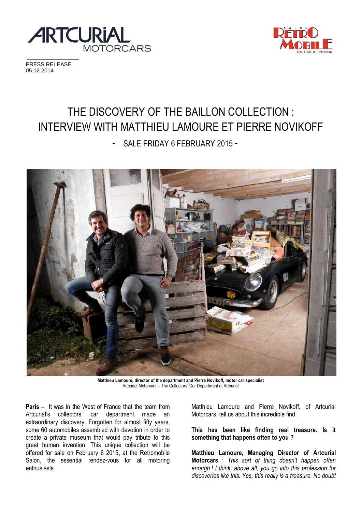



PRESS RELEASE 05.12.2014

# THE DISCOVERY OF THE BAILLON COLLECTION : INTERVIEW WITH MATTHIEU LAMOURE ET PIERRE NOVIKOFF

- SALE FRIDAY 6 FEBRUARY 2015 -



**Matthieu Lamoure, director of the department and Pierre Novikoff, motor car specialist** Artcurial Motorcars – The Collectors' Car Department at Artcurial

**Paris** – It was in the West of France that the team from Artcurial's collectors' car department made an extraordinary discovery. Forgotten for almost fifty years, some 60 automobiles assembled with devotion in order to create a private museum that would pay tribute to this great human invention. This unique collection will be offered for sale on February 6 2015, at the Retromobile Salon, the essential rendez-vous for all motoring enthusiasts.

Matthieu Lamoure and Pierre Novikoff, of Artcurial Motorcars, tell us about this incredible find.

**This has been like finding real treasure. Is it something that happens often to you ?** 

**Matthieu Lamoure, Managing Director of Artcurial Motorcars** : *This sort of thing doesn't happen often enough ! I think, above all, you go into this profession for discoveries like this. Yes, this really is a treasure. No doubt*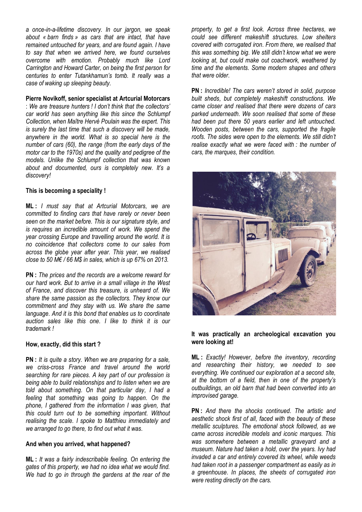*a once-in-a-lifetime discovery. In our jargon, we speak about « barn finds » as cars that are intact, that have remained untouched for years, and are found again. I have to say that when we arrived here, we found ourselves overcome with emotion. Probably much like Lord Carrington and Howard Carter, on being the first person for centuries to enter Tutankhamun's tomb. It really was a case of waking up sleeping beauty.* 

#### **Pierre Novikoff, senior specialist at Artcurial Motorcars**

: *We are treasure hunters ! I don't think that the collectors' car world has seen anything like this since the Schlumpf Collection, when Maître Hervé Poulain was the expert. This is surely the last time that such a discovery will be made, anywhere in the world. What is so special here is the number of cars (60), the range (from the early days of the motor car to the 1970s) and the quality and pedigree of the models. Unlike the Schlumpf collection that was known about and documented, ours is completely new. It's a discovery!* 

#### **This is becoming a speciality !**

**ML :** *I must say that at Artcurial Motorcars, we are committed to finding cars that have rarely or never been seen on the market before. This is our signature style, and is requires an incredible amount of work. We spend the year crossing Europe and travelling around the world. It is no coincidence that collectors come to our sales from across the globe year after year. This year, we realised close to 50 M€ / 66 M\$ in sales, which is up 67% on 2013.* 

**PN :** *The prices and the records are a welcome reward for our hard work. But to arrive in a small village in the West of France, and discover this treasure, is unheard of. We share the same passion as the collectors. They know our commitment and they stay with us. We share the same language. And it is this bond that enables us to coordinate auction sales like this one. I like to think it is our trademark !* 

#### **How, exactly, did this start ?**

**PN :** *It is quite a story. When we are preparing for a sale, we criss-cross France and travel around the world searching for rare pieces. A key part of our profession is being able to build relationships and to listen when we are told about something. On that particular day, I had a feeling that something was going to happen. On the phone, I gathered from the information I was given, that this could turn out to be something important. Without realising the scale. I spoke to Matthieu immediately and we arranged to go there, to find out what it was.* 

#### **And when you arrived, what happened?**

**ML :** *It was a fairly indescribable feeling. On entering the gates of this property, we had no idea what we would find. We had to go in through the gardens at the rear of the*  *property, to get a first look. Across three hectares, we could see different makeshift structures. Low shelters covered with corrugated iron. From there, we realised that this was something big. We still didn't know what we were looking at, but could make out coachwork, weathered by time and the elements. Some modern shapes and others that were older.* 

**PN :** *Incredible! The cars weren't stored in solid, purpose built sheds, but completely makeshift constructions. We came closer and realised that there were dozens of cars parked underneath. We soon realised that some of these had been put there 50 years earlier and left untouched. Wooden posts, between the cars, supported the fragile roofs. The sides were open to the elements. We still didn't realise exactly what we were faced with : the number of cars, the marques, their condition.* 



#### **It was practically an archeological excavation you were looking at!**

**ML :** *Exactly! However, before the inventory, recording and researching their history, we needed to see everything. We continued our exploration at a second site, at the bottom of a field, then in one of the property's outbuildings, an old barn that had been converted into an improvised garage.* 

**PN :** *And there the shocks continued. The artistic and aesthetic shock first of all, faced with the beauty of these metallic sculptures. The emotional shock followed, as we came across incredible models and iconic marques. This was somewhere between a metallic graveyard and a museum. Nature had taken a hold, over the years. Ivy had invaded a car and entirely covered its wheel, while weeds had taken root in a passenger compartment as easily as in a greenhouse. In places, the sheets of corrugated iron were resting directly on the cars.*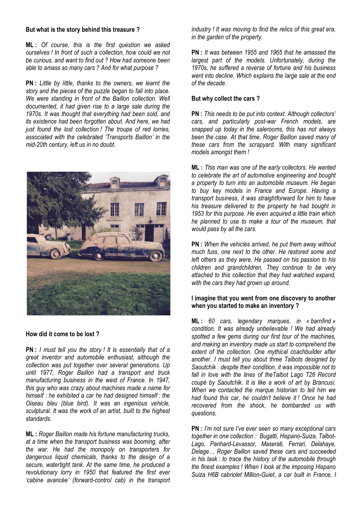#### **But what is the story behind this treasure ?**

**ML :** *Of course, this is the first question we asked ourselves ! In front of such a collection, how could we not be curious, and want to find out ? How had someone been able to amass so many cars ? And for what purpose ?* 

**PN :** *Little by little, thanks to the owners, we learnt the story and the pieces of the puzzle began to fall into place. We were standing in front of the Baillon collection. Well documented, it had given rise to a large sale during the 1970s. It was thought that everything had been sold, and its existence had been forgotten about. And here, we had just found the lost collection ! The troupe of red lorries, associated with the celebrated 'Transports Baillon' in the mid-20th century, left us in no doubt.* 



#### **How did it come to be lost ?**

**PN :** *I must tell you the story ! It is essentially that of a great inventor and automobile enthusiast, although the collection was put together over several generations. Up until 1977, Roger Baillon had a transport and truck manufacturing business in the west of France. In 1947, this guy who was crazy about machines made a name for himself : he exhibited a car he had designed himself : the Oiseau bleu (blue bird). It was an ingenious vehicle, sculptural. It was the work of an artist, built to the highest standards.* 

**ML :** *Roger Baillon made his fortune manufacturing trucks, at a time when the transport business was booming, after the war. He had the monopoly on transporters for dangerous liquid chemicals, thanks to the design of a secure, watertight tank. At the same time, he produced a revolutionary lorry in 1950 that featured the first ever 'cabine avancée' (forward-control cab) in the transport*  *industry ! It was moving to find the relics of this great era, in the garden of the property.* 

**PN :** *It was between 1955 and 1965 that he amassed the largest part of the models. Unfortunately, during the 1970s, he suffered a reverse of fortune and his business went into decline. Which explains the large sale at the end of the decade.* 

#### **But why collect the cars ?**

**PN :** *This needs to be put into context. Although collectors' cars, and particularly post-war French models, are snapped up today in the salerooms, this has not always been the case. At that time, Roger Baillon saved many of these cars from the scrapyard. With many significant models amongst them !* 

**ML :** *This man was one of the early collectors. He wanted to celebrate the art of automotive engineering and bought a property to turn into an automobile museum. He began to buy key models in France and Europe. Having a transport business, it was straightforward for him to have his treasure delivered to the property he had bought in 1953 for this purpose. He even acquired a little train which he planned to use to make a tour of the museum, that would pass by all the cars.*

**PN :** *When the vehicles arrived, he put them away without much fuss, one next to the other. He restored some and left others as they were. He passed on his passion to his children and grandchildren. They continue to be very attached to this collection that they had watched expand, with the cars they had grown up around.* 

### **I imagine that you went from one discovery to another when you started to make an inventory ?**

**ML :** *60 cars, legendary marques, in « barnfind » condition. It was already unbelievable ! We had already spotted a few gems during our first tour of the machines, and making an inventory made us start to comprehend the extent of the collection. One mythical coachbuilder after another. I must tell you about three Talbots designed by Saoutchik : despite their condition, it was impossible not to*  fall in love with the lines of theTalbot Lago T26 Record *coupé by Saoutchik. It is like a work of art by Brancusi. When we contacted the marque historian to tell him we had found this car, he couldn't believe it ! Once he had recovered from the shock, he bombarded us with questions.* 

**PN :** *I'm not sure I've ever seen so many exceptional cars together in one collection : Bugatti, Hispano-Suiza, Talbot-Lago, Panhard-Levassor, Maserati, Ferrari, Delahaye, Delage… Roger Baillon saved these cars and succeeded in his task : to trace the history of the automobile through the finest examples ! When I look at the imposing Hispano Suiza H6B cabriolet Million-Guiet, a car built in France, I*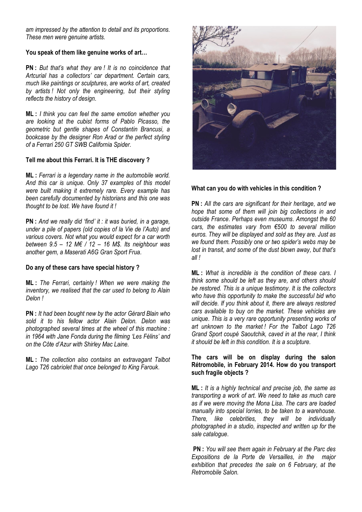*am impressed by the attention to detail and its proportions. These men were genuine artists.* 

### **You speak of them like genuine works of art…**

**PN :** *But that's what they are ! It is no coincidence that Artcurial has a collectors' car department. Certain cars, much like paintings or sculptures, are works of art, created by artists ! Not only the engineering, but their styling reflects the history of design.* 

**ML :** *I think you can feel the same emotion whether you are looking at the cubist forms of Pablo Picasso, the geometric but gentle shapes of Constantin Brancusi, a bookcase by the designer Ron Arad or the perfect styling of a Ferrari 250 GT SWB California Spider.* 

# **Tell me about this Ferrari. It is THE discovery ?**

**ML :** *Ferrari is a legendary name in the automobile world. And this car is unique. Only 37 examples of this model were built making it extremely rare. Every example has been carefully documented by historians and this one was thought to be lost. We have found it !* 

**PN :** *And we really did 'find' it : it was buried, in a garage, under a pile of papers (old copies of la Vie de l'Auto) and various covers. Not what you would expect for a car worth between 9.5 – 12 M€ / 12 – 16 M\$. Its neighbour was another gem, a Maserati A6G Gran Sport Frua.* 

#### **Do any of these cars have special history ?**

**ML :** *The Ferrari, certainly ! When we were making the inventory, we realised that the car used to belong to Alain Delon !* 

**PN :** *It had been bought new by the actor Gérard Blain who sold it to his fellow actor Alain Delon. Delon was photographed several times at the wheel of this machine : in 1964 with Jane Fonda during the filming 'Les Félins' and on the Côte d'Azur with Shirley Mac Laine.* 

**ML :** *The collection also contains an extravagant Talbot Lago T26 cabriolet that once belonged to King Farouk.* 



# **What can you do with vehicles in this condition ?**

**PN :** *All the cars are significant for their heritage, and we hope that some of them will join big collections in and outside France. Perhaps even museums. Amongst the 60 cars, the estimates vary from €500 to several million euros. They will be displayed and sold as they are. Just as we found them. Possibly one or two spider's webs may be lost in transit, and some of the dust blown away, but that's all !* 

**ML :** *What is incredible is the condition of these cars. I think some should be left as they are, and others should be restored. This is a unique testimony. It is the collectors who have this opportunity to make the successful bid who will decide. If you think about it, there are always restored cars available to buy on the market. These vehicles are unique. This is a very rare opportunity presenting works of art unknown to the market ! For the Talbot Lago T26 Grand Sport coupé Saoutchik, caved in at the rear, I think it should be left in this condition. It is a sculpture.* 

#### **The cars will be on display during the salon Rétromobile, in February 2014. How do you transport such fragile objects ?**

**ML :** *It is a highly technical and precise job, the same as transporting a work of art. We need to take as much care as if we were moving the Mona Lisa. The cars are loaded manually into special lorries, to be taken to a warehouse. There, like celebrities, they will be individually photographed in a studio, inspected and written up for the sale catalogue.* 

**PN :** *You will see them again in February at the Parc des Expositions de la Porte de Versailles, in the major exhibition that precedes the sale on 6 February, at the Retromobile Salon.*